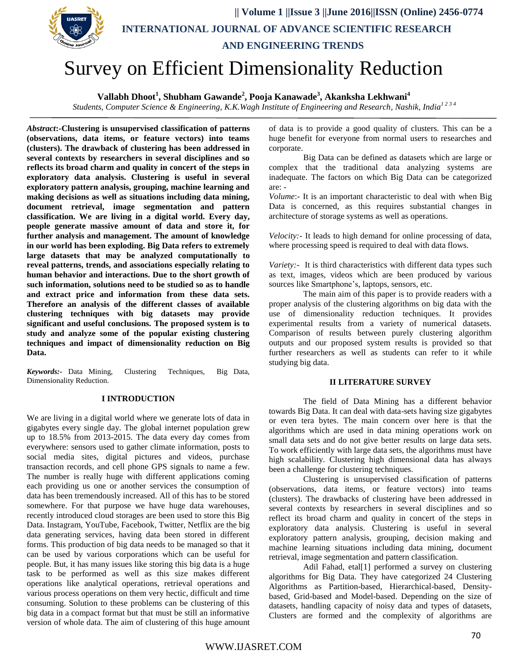

## **Vallabh Dhoot<sup>1</sup> , Shubham Gawande<sup>2</sup> , Pooja Kanawade<sup>3</sup> , Akanksha Lekhwani<sup>4</sup>**

*Students, Computer Science & Engineering, K.K.Wagh Institute of Engineering and Research, Nashik, India1 2 3 4* 

*Abstract***:-Clustering is unsupervised classification of patterns (observations, data items, or feature vectors) into teams (clusters). The drawback of clustering has been addressed in several contexts by researchers in several disciplines and so reflects its broad charm and quality in concert of the steps in exploratory data analysis. Clustering is useful in several exploratory pattern analysis, grouping, machine learning and making decisions as well as situations including data mining, document retrieval, image segmentation and pattern classification. We are living in a digital world. Every day, people generate massive amount of data and store it, for further analysis and management. The amount of knowledge in our world has been exploding. Big Data refers to extremely large datasets that may be analyzed computationally to reveal patterns, trends, and associations especially relating to human behavior and interactions. Due to the short growth of such information, solutions need to be studied so as to handle and extract price and information from these data sets. Therefore an analysis of the different classes of available clustering techniques with big datasets may provide significant and useful conclusions. The proposed system is to study and analyze some of the popular existing clustering techniques and impact of dimensionality reduction on Big Data.**

*Keywords:-* Data Mining, Clustering Techniques, Big Data, Dimensionality Reduction.

## **I INTRODUCTION**

We are living in a digital world where we generate lots of data in gigabytes every single day. The global internet population grew up to 18.5% from 2013-2015. The data every day comes from everywhere: sensors used to gather climate information, posts to social media sites, digital pictures and videos, purchase transaction records, and cell phone GPS signals to name a few. The number is really huge with different applications coming each providing us one or another services the consumption of data has been tremendously increased. All of this has to be stored somewhere. For that purpose we have huge data warehouses, recently introduced cloud storages are been used to store this Big Data. Instagram, YouTube, Facebook, Twitter, Netflix are the big data generating services, having data been stored in different forms. This production of big data needs to be managed so that it can be used by various corporations which can be useful for people. But, it has many issues like storing this big data is a huge task to be performed as well as this size makes different operations like analytical operations, retrieval operations and various process operations on them very hectic, difficult and time consuming. Solution to these problems can be clustering of this big data in a compact format but that must be still an informative version of whole data. The aim of clustering of this huge amount

of data is to provide a good quality of clusters. This can be a huge benefit for everyone from normal users to researches and corporate.

Big Data can be defined as datasets which are large or complex that the traditional data analyzing systems are inadequate. The factors on which Big Data can be categorized are: -

*Volume*:- It is an important characteristic to deal with when Big Data is concerned, as this requires substantial changes in architecture of storage systems as well as operations.

*Velocity:-* It leads to high demand for online processing of data, where processing speed is required to deal with data flows.

*Variety:-* It is third characteristics with different data types such as text, images, videos which are been produced by various sources like Smartphone's, laptops, sensors, etc.

The main aim of this paper is to provide readers with a proper analysis of the clustering algorithms on big data with the use of dimensionality reduction techniques. It provides experimental results from a variety of numerical datasets. Comparison of results between purely clustering algorithm outputs and our proposed system results is provided so that further researchers as well as students can refer to it while studying big data.

## **II LITERATURE SURVEY**

The field of Data Mining has a different behavior towards Big Data. It can deal with data-sets having size gigabytes or even tera bytes. The main concern over here is that the algorithms which are used in data mining operations work on small data sets and do not give better results on large data sets. To work efficiently with large data sets, the algorithms must have high scalability. Clustering high dimensional data has always been a challenge for clustering techniques.

Clustering is unsupervised classification of patterns (observations, data items, or feature vectors) into teams (clusters). The drawbacks of clustering have been addressed in several contexts by researchers in several disciplines and so reflect its broad charm and quality in concert of the steps in exploratory data analysis. Clustering is useful in several exploratory pattern analysis, grouping, decision making and machine learning situations including data mining, document retrieval, image segmentation and pattern classification.

Adil Fahad, etal[1] performed a survey on clustering algorithms for Big Data. They have categorized 24 Clustering Algorithms as Partition-based, Hierarchical-based, Densitybased, Grid-based and Model-based. Depending on the size of datasets, handling capacity of noisy data and types of datasets, Clusters are formed and the complexity of algorithms are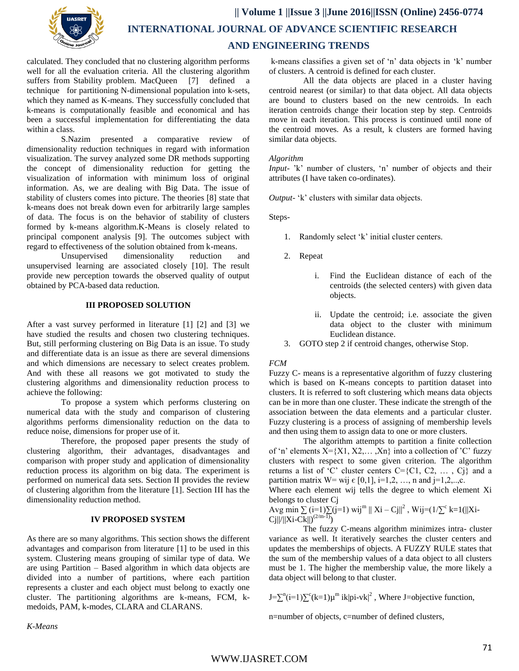

calculated. They concluded that no clustering algorithm performs well for all the evaluation criteria. All the clustering algorithm suffers from Stability problem. MacQueen [7] defined a technique for partitioning N-dimensional population into k-sets, which they named as K-means. They successfully concluded that k-means is computationally feasible and economical and has been a successful implementation for differentiating the data within a class.

S.Nazim presented a comparative review of dimensionality reduction techniques in regard with information visualization. The survey analyzed some DR methods supporting the concept of dimensionality reduction for getting the visualization of information with minimum loss of original information. As, we are dealing with Big Data. The issue of stability of clusters comes into picture. The theories [8] state that k-means does not break down even for arbitrarily large samples of data. The focus is on the behavior of stability of clusters formed by k-means algorithm.K-Means is closely related to principal component analysis [9]. The outcomes subject with regard to effectiveness of the solution obtained from k-means.

Unsupervised dimensionality reduction and unsupervised learning are associated closely [10]. The result provide new perception towards the observed quality of output obtained by PCA-based data reduction.

## **III PROPOSED SOLUTION**

After a vast survey performed in literature [1] [2] and [3] we have studied the results and chosen two clustering techniques. But, still performing clustering on Big Data is an issue. To study and differentiate data is an issue as there are several dimensions and which dimensions are necessary to select creates problem. And with these all reasons we got motivated to study the clustering algorithms and dimensionality reduction process to achieve the following:

To propose a system which performs clustering on numerical data with the study and comparison of clustering algorithms performs dimensionality reduction on the data to reduce noise, dimensions for proper use of it.

Therefore, the proposed paper presents the study of clustering algorithm, their advantages, disadvantages and comparison with proper study and application of dimensionality reduction process its algorithm on big data. The experiment is performed on numerical data sets. Section II provides the review of clustering algorithm from the literature [1]. Section III has the dimensionality reduction method.

## **IV PROPOSED SYSTEM**

As there are so many algorithms. This section shows the different advantages and comparison from literature [1] to be used in this system. Clustering means grouping of similar type of data. We are using Partition – Based algorithm in which data objects are divided into a number of partitions, where each partition represents a cluster and each object must belong to exactly one cluster. The partitioning algorithms are k-means, FCM, kmedoids, PAM, k-modes, CLARA and CLARANS.

k-means classifies a given set of "n" data objects in "k" number of clusters. A centroid is defined for each cluster.

All the data objects are placed in a cluster having centroid nearest (or similar) to that data object. All data objects are bound to clusters based on the new centroids. In each iteration centroids change their location step by step. Centroids move in each iteration. This process is continued until none of the centroid moves. As a result, k clusters are formed having similar data objects.

#### *Algorithm*

*Input-* 'k' number of clusters, 'n' number of objects and their attributes (I have taken co-ordinates).

*Output*- 'k' clusters with similar data objects.

Steps-

- 1. Randomly select "k" initial cluster centers.
- 2. Repeat
	- i. Find the Euclidean distance of each of the centroids (the selected centers) with given data objects.
	- ii. Update the centroid; i.e. associate the given data object to the cluster with minimum Euclidean distance.
- 3. GOTO step 2 if centroid changes, otherwise Stop.

#### *FCM*

Fuzzy C- means is a representative algorithm of fuzzy clustering which is based on K-means concepts to partition dataset into clusters. It is referred to soft clustering which means data objects can be in more than one cluster. These indicate the strength of the association between the data elements and a particular cluster. Fuzzy clustering is a process of assigning of membership levels and then using them to assign data to one or more clusters.

The algorithm attempts to partition a finite collection of 'n' elements  $X = \{X1, X2, \ldots, Xn\}$  into a collection of 'C' fuzzy clusters with respect to some given criterion. The algorithm returns a list of 'C' cluster centers  $C = \{C1, C2, \dots, C\}$  and a partition matrix  $W=$  wij  $\epsilon$  [0,1], i=1,2, ..., n and j=1,2,..,c.

Where each element wij tells the degree to which element Xi belongs to cluster Cj

Avg min  $\sum$  (i=1) $\sum$ (j=1) wij<sup>m</sup> || Xi – Cj||<sup>2</sup>, Wij=(1/ $\sum$ <sup>c</sup> k=1(||Xi- $Cj||/||Xi-Ck||^{(2/m-1)}$ 

The fuzzy C-means algorithm minimizes intra- cluster variance as well. It iteratively searches the cluster centers and updates the memberships of objects. A FUZZY RULE states that the sum of the membership values of a data object to all clusters must be 1. The higher the membership value, the more likely a data object will belong to that cluster.

 $J = \sum^{n} (i=1) \sum^{c} (k=1) \mu^{m}$  ik $|p i - v k|^2$ , Where J=objective function,

n=number of objects, c=number of defined clusters,

*K-Means*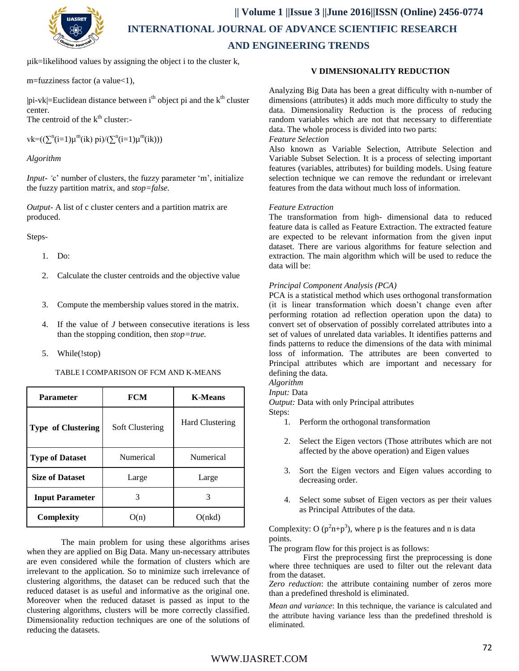

µik=likelihood values by assigning the object i to the cluster k,

m=fuzziness factor (a value<1),

 $|pi-vk|=$ Euclidean distance between i<sup>th</sup> object pi and the  $k<sup>th</sup>$  cluster center.

The centroid of the  $k^{\text{th}}$  cluster:-

 $vk = ((\sum^{n} (i=1)\mu^{m}(ik) \pi i)/(\sum^{n} (i=1)\mu^{m}(ik)))$ 

*Algorithm* 

*Input- 'c'* number of clusters, the fuzzy parameter 'm', initialize the fuzzy partition matrix, and *stop=false.*

*Output-* A list of c cluster centers and a partition matrix are produced.

Steps-

- 1. Do:
- 2. Calculate the cluster centroids and the objective value
- 3. Compute the membership values stored in the matrix.
- 4. If the value of *J* between consecutive iterations is less than the stopping condition, then *stop=true.*
- 5. While(!stop)

TABLE I COMPARISON OF FCM AND K-MEANS

| Parameter                 | <b>FCM</b>             | <b>K-Means</b>         |
|---------------------------|------------------------|------------------------|
| <b>Type of Clustering</b> | <b>Soft Clustering</b> | <b>Hard Clustering</b> |
| <b>Type of Dataset</b>    | <b>Numerical</b>       | Numerical              |
| <b>Size of Dataset</b>    | Large                  | Large                  |
| <b>Input Parameter</b>    | 3                      | 3                      |
| Complexity                | O(n)                   | O(nkd)                 |

The main problem for using these algorithms arises when they are applied on Big Data. Many un-necessary attributes are even considered while the formation of clusters which are irrelevant to the application. So to minimize such irrelevance of clustering algorithms, the dataset can be reduced such that the reduced dataset is as useful and informative as the original one. Moreover when the reduced dataset is passed as input to the clustering algorithms, clusters will be more correctly classified. Dimensionality reduction techniques are one of the solutions of reducing the datasets.

## **V DIMENSIONALITY REDUCTION**

Analyzing Big Data has been a great difficulty with n-number of dimensions (attributes) it adds much more difficulty to study the data. Dimensionality Reduction is the process of reducing random variables which are not that necessary to differentiate data. The whole process is divided into two parts:

## *Feature Selection*

Also known as Variable Selection, Attribute Selection and Variable Subset Selection. It is a process of selecting important features (variables, attributes) for building models. Using feature selection technique we can remove the redundant or irrelevant features from the data without much loss of information.

## *Feature Extraction*

The transformation from high- dimensional data to reduced feature data is called as Feature Extraction. The extracted feature are expected to be relevant information from the given input dataset. There are various algorithms for feature selection and extraction. The main algorithm which will be used to reduce the data will be:

## *Principal Component Analysis (PCA)*

PCA is a statistical method which uses orthogonal transformation (it is linear transformation which doesn"t change even after performing rotation ad reflection operation upon the data) to convert set of observation of possibly correlated attributes into a set of values of unrelated data variables. It identifies patterns and finds patterns to reduce the dimensions of the data with minimal loss of information. The attributes are been converted to Principal attributes which are important and necessary for defining the data.

*Algorithm* 

*Input:* Data

*Output:* Data with only Principal attributes

Steps:

- 1. Perform the orthogonal transformation
- 2. Select the Eigen vectors (Those attributes which are not affected by the above operation) and Eigen values
- 3. Sort the Eigen vectors and Eigen values according to decreasing order.
- 4. Select some subset of Eigen vectors as per their values as Principal Attributes of the data.

Complexity: O  $(p^2n+p^3)$ , where p is the features and n is data points.

The program flow for this project is as follows:

First the preprocessing first the preprocessing is done where three techniques are used to filter out the relevant data from the dataset.

*Zero reduction*: the attribute containing number of zeros more than a predefined threshold is eliminated.

*Mean and variance*: In this technique, the variance is calculated and the attribute having variance less than the predefined threshold is eliminated.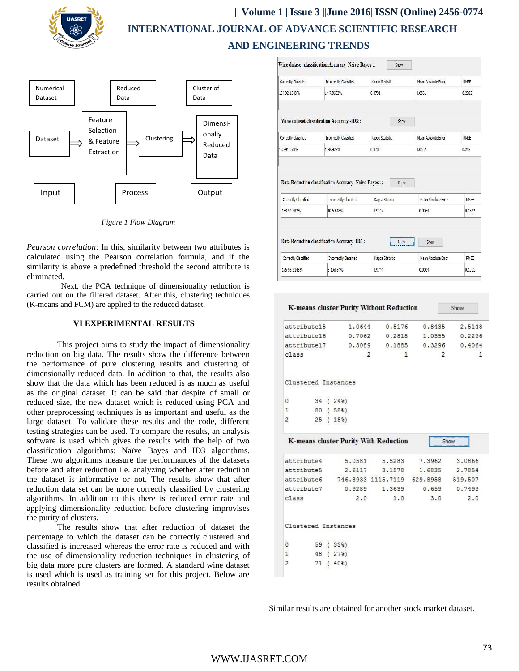



*Figure 1 Flow Diagram*

*Pearson correlation*: In this, similarity between two attributes is calculated using the Pearson correlation formula, and if the similarity is above a predefined threshold the second attribute is eliminated.

Next, the PCA technique of dimensionality reduction is carried out on the filtered dataset. After this, clustering techniques (K-means and FCM) are applied to the reduced dataset.

#### **VI EXPERIMENTAL RESULTS**

This project aims to study the impact of dimensionality reduction on big data. The results show the difference between the performance of pure clustering results and clustering of dimensionally reduced data. In addition to that, the results also show that the data which has been reduced is as much as useful as the original dataset. It can be said that despite of small or reduced size, the new dataset which is reduced using PCA and other preprocessing techniques is as important and useful as the large dataset. To validate these results and the code, different testing strategies can be used. To compare the results, an analysis software is used which gives the results with the help of two classification algorithms: Naïve Bayes and ID3 algorithms. These two algorithms measure the performances of the datasets before and after reduction i.e. analyzing whether after reduction the dataset is informative or not. The results show that after reduction data set can be more correctly classified by clustering algorithms. In addition to this there is reduced error rate and applying dimensionality reduction before clustering improvises the purity of clusters.

The results show that after reduction of dataset the percentage to which the dataset can be correctly clustered and classified is increased whereas the error rate is reduced and with the use of dimensionality reduction techniques in clustering of big data more pure clusters are formed. A standard wine dataset is used which is used as training set for this project. Below are results obtained

| Correctly Classified | Incorrectly Classified                                 | Kappa Statistic | Mean Absolute Frror | <b>RMSE</b>            |
|----------------------|--------------------------------------------------------|-----------------|---------------------|------------------------|
| 164-92.1348%         | 14-7.8652%                                             | 0.8791          | 0.0581              | 0.2202                 |
|                      | Wine dataset classification Accuracy -ID3::            | Show            |                     |                        |
| Correctly Classified | Incorrectly Classified                                 | Kappa Statistic | Mean Absolute Error | <b>RMSE</b>            |
| 163-91.573%          | 15-8.427%                                              | 0.8703          | 0.0562              | 0.237                  |
|                      | Data Reduction classification Accuracy -Naive Bayes :: | Show            |                     |                        |
| Correctly Classified | Incorrectly Classified                                 | Kappa Statistic | Mean Absolute Error |                        |
| 168-94.382%          | 10-5.618%                                              | 0.9147          | 0.0364              |                        |
|                      |                                                        |                 |                     |                        |
|                      | Data Reduction classification Accuracy -ID3 ::         | Show<br>        | Show                |                        |
| Correctly Classified | Incorrectly Classified                                 | Kappa Statistic | Mean Absolute Error | RMSE<br>0.1572<br>RMSF |

|                     |    |               |                    | <b>K-means cluster Purity Without Reduction</b> |                | Show             |
|---------------------|----|---------------|--------------------|-------------------------------------------------|----------------|------------------|
| attribute15         |    |               | 1.0644             | 0.5176                                          | 0.8435         | 2.5148           |
| attribute16         |    |               | 0.7062             | 0.2818                                          | 1.0355         | 0.2296           |
| attribute17         |    |               | 0.3089             | 0.1885                                          | 0.3296         | 0.4064           |
| class               |    |               |                    | 2<br>1                                          | $\overline{2}$ | 1                |
| Clustered Instances |    |               |                    |                                                 |                |                  |
| 0                   | 34 |               | (243)              |                                                 |                |                  |
| 1                   |    |               | 80 (58%)           |                                                 |                |                  |
| 2                   | 25 | $\mathcal{L}$ | 18 <sup>3</sup>    |                                                 |                |                  |
|                     |    |               |                    | <b>K-means cluster Purity With Reduction</b>    |                |                  |
| attribute4          |    |               | 5.0581             | 5.5283                                          | 7.3962         | 3.0866           |
| attribute5          |    |               | 2.6117             | 3.1578                                          | 1.6835         | 2.7854           |
|                     |    |               |                    | attribute6 746.8933 1115.7119                   | 629.8958       | 519.507          |
| attribute7          |    |               | 0.9289             | 1.3639                                          |                | $0.659$ $0.7499$ |
| class               |    |               | 2.0                | 1.0                                             | 3.0            | 2.0              |
| Clustered Instances |    |               |                    |                                                 |                |                  |
| $\circ$             | 59 |               | (33 <sup>8</sup> ) |                                                 |                |                  |
| 1                   | 48 | ŧ             | 278)               |                                                 |                |                  |

Similar results are obtained for another stock market dataset.

 $\overline{2}$ 

71 ( 40%)